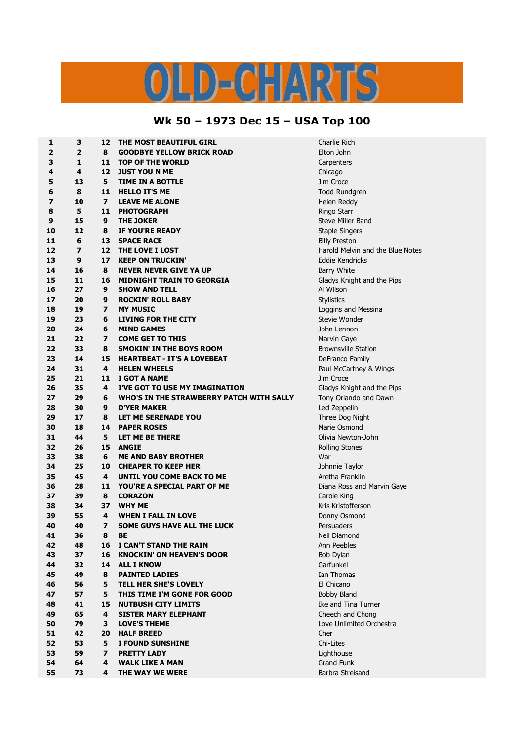## LD-CHARTS

## **Wk 50 – 1973 Dec 15 – USA Top 100**

| 1        | 3                       | 12                      | THE MOST BEAUTIFUL GIRL                                          | Charlie Rich                              |  |
|----------|-------------------------|-------------------------|------------------------------------------------------------------|-------------------------------------------|--|
| 2        | $\overline{2}$          | 8                       | <b>GOODBYE YELLOW BRICK ROAD</b>                                 | Elton John                                |  |
| 3        | 1                       | 11                      | <b>TOP OF THE WORLD</b>                                          | Carpenters                                |  |
| 4        | 4                       | 12                      | <b>JUST YOU N ME</b>                                             | Chicago                                   |  |
| 5        | 13                      | 5                       | TIME IN A BOTTLE                                                 | Jim Croce                                 |  |
| 6        | 8                       | 11                      | <b>HELLO IT'S ME</b>                                             | Todd Rundgren                             |  |
| 7        | 10                      | $\overline{\mathbf{z}}$ | <b>LEAVE ME ALONE</b>                                            | Helen Reddy                               |  |
| 8        | 5                       | 11                      | <b>PHOTOGRAPH</b>                                                | Ringo Starr                               |  |
| 9        | 15                      | 9                       | <b>THE JOKER</b>                                                 | Steve Miller Band                         |  |
| 10       | 12                      | 8                       | IF YOU'RE READY                                                  | <b>Staple Singers</b>                     |  |
| 11       | 6                       | 13                      | <b>SPACE RACE</b>                                                | <b>Billy Preston</b>                      |  |
| 12       | $\overline{\mathbf{z}}$ | 12                      | THE LOVE I LOST                                                  | Harold Melvin and the Blue Notes          |  |
| 13       | 9                       | 17                      | <b>KEEP ON TRUCKIN'</b>                                          | <b>Eddie Kendricks</b>                    |  |
| 14       | 16                      | 8                       | <b>NEVER NEVER GIVE YA UP</b>                                    | Barry White                               |  |
| 15       | 11                      | 16                      | <b>MIDNIGHT TRAIN TO GEORGIA</b>                                 | Gladys Knight and the Pips                |  |
| 16       | 27                      | 9                       | <b>SHOW AND TELL</b>                                             | Al Wilson                                 |  |
| 17       | 20                      | 9                       | <b>ROCKIN' ROLL BABY</b>                                         | <b>Stylistics</b>                         |  |
| 18       | 19                      | 7                       | <b>MY MUSIC</b>                                                  | Loggins and Messina                       |  |
| 19       | 23                      | 6                       | <b>LIVING FOR THE CITY</b>                                       | Stevie Wonder                             |  |
| 20       | 24                      | 6                       | <b>MIND GAMES</b>                                                | John Lennon                               |  |
| 21       | 22                      | 7                       | <b>COME GET TO THIS</b>                                          | Marvin Gaye                               |  |
| 22       | 33                      | 8                       | <b>SMOKIN' IN THE BOYS ROOM</b>                                  | <b>Brownsville Station</b>                |  |
| 23       | 14                      | 15                      | <b>HEARTBEAT - IT'S A LOVEBEAT</b>                               | DeFranco Family                           |  |
| 24       | 31                      | 4                       | <b>HELEN WHEELS</b>                                              | Paul McCartney & Wings                    |  |
| 25       | 21                      | 11                      | I GOT A NAME                                                     | Jim Croce                                 |  |
| 26       | 35                      | 4                       | I'VE GOT TO USE MY IMAGINATION                                   | Gladys Knight and the Pips                |  |
| 27       | 29                      | 6                       | WHO'S IN THE STRAWBERRY PATCH WITH SALLY                         | Tony Orlando and Dawn                     |  |
| 28       | 30                      | 9                       | <b>D'YER MAKER</b>                                               | Led Zeppelin                              |  |
| 29       | 17                      | 8                       | LET ME SERENADE YOU                                              | Three Dog Night                           |  |
| 30       | 18                      | 14                      | <b>PAPER ROSES</b>                                               | Marie Osmond                              |  |
| 31       | 44                      | 5                       | LET ME BE THERE                                                  | Olivia Newton-John                        |  |
| 32       | 26                      | 15                      | <b>ANGIE</b>                                                     |                                           |  |
| 33       | 38                      | 6                       | <b>ME AND BABY BROTHER</b>                                       | <b>Rolling Stones</b><br>War              |  |
| 34       | 25                      | 10                      | <b>CHEAPER TO KEEP HER</b>                                       | Johnnie Taylor                            |  |
| 35       | 45                      | 4                       | UNTIL YOU COME BACK TO ME                                        | Aretha Franklin                           |  |
| 36       | 28                      | 11                      | YOU'RE A SPECIAL PART OF ME                                      |                                           |  |
| 37       | 39                      | 8                       | <b>CORAZON</b>                                                   | Diana Ross and Marvin Gaye<br>Carole King |  |
|          |                         | 37                      |                                                                  | Kris Kristofferson                        |  |
| 38       | 34                      | 4                       | <b>WHY ME</b>                                                    |                                           |  |
| 39       | 55<br>40                | 7                       | <b>WHEN I FALL IN LOVE</b><br><b>SOME GUYS HAVE ALL THE LUCK</b> | Donny Osmond                              |  |
| 40       |                         |                         |                                                                  | Persuaders                                |  |
| 41<br>42 | 36<br>48                | 8<br>16                 | BЕ                                                               | Neil Diamond                              |  |
|          | 37                      | 16                      | I CAN'T STAND THE RAIN                                           | Ann Peebles                               |  |
| 43       |                         |                         | <b>KNOCKIN' ON HEAVEN'S DOOR</b>                                 | Bob Dylan                                 |  |
| 44       | 32                      | 14                      | <b>ALL I KNOW</b>                                                | Garfunkel                                 |  |
| 45       | 49                      | 8                       | <b>PAINTED LADIES</b>                                            | Ian Thomas                                |  |
| 46       | 56                      | 5                       | TELL HER SHE'S LOVELY                                            | El Chicano                                |  |
| 47       | 57                      | 5                       | THIS TIME I'M GONE FOR GOOD                                      | <b>Bobby Bland</b>                        |  |
| 48       | 41                      | 15                      | <b>NUTBUSH CITY LIMITS</b>                                       | Ike and Tina Turner                       |  |
| 49       | 65                      | 4                       | <b>SISTER MARY ELEPHANT</b>                                      | Cheech and Chong                          |  |
| 50       | 79                      | 3                       | <b>LOVE'S THEME</b>                                              | Love Unlimited Orchestra                  |  |
| 51       | 42                      | 20                      | <b>HALF BREED</b>                                                | Cher                                      |  |
| 52       | 53                      | 5                       | I FOUND SUNSHINE                                                 | Chi-Lites                                 |  |
| 53       | 59                      | 7                       | <b>PRETTY LADY</b>                                               | Lighthouse                                |  |
| 54       | 64                      | 4                       | <b>WALK LIKE A MAN</b>                                           | Grand Funk                                |  |
| 55       | 73                      | 4                       | THE WAY WE WERE                                                  | Barbra Streisand                          |  |